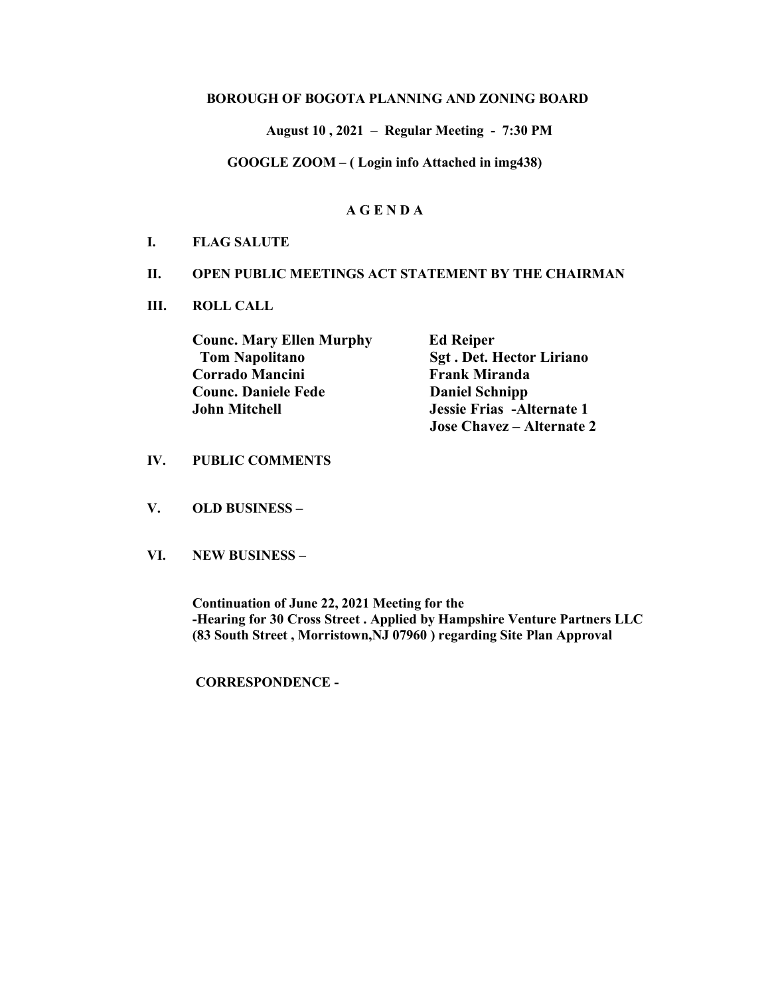#### BOROUGH OF BOGOTA PLANNING AND ZONING BOARD

August 10 , 2021 – Regular Meeting - 7:30 PM

GOOGLE ZOOM – ( Login info Attached in img438)

### A G E N D A

#### I. FLAG SALUTE

#### II. OPEN PUBLIC MEETINGS ACT STATEMENT BY THE CHAIRMAN

III. ROLL CALL

Counc. Mary Ellen Murphy Ed Reiper Tom Napolitano Sgt . Det. Hector Liriano Corrado Mancini Frank Miranda Counc. Daniele Fede Daniel Schnipp John Mitchell Jessie Frias -Alternate 1

Jose Chavez – Alternate 2

#### IV. PUBLIC COMMENTS

- V. OLD BUSINESS –
- VI. NEW BUSINESS –

Continuation of June 22, 2021 Meeting for the -Hearing for 30 Cross Street . Applied by Hampshire Venture Partners LLC (83 South Street , Morristown,NJ 07960 ) regarding Site Plan Approval

CORRESPONDENCE -